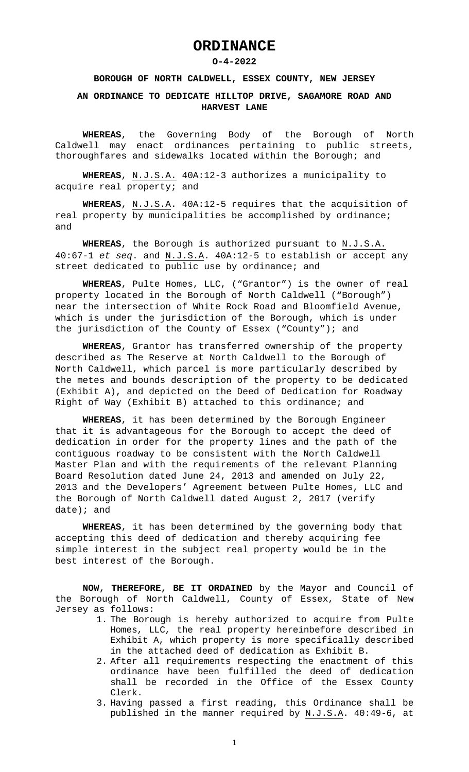## **ORDINANCE**

## **O-4-2022**

## **BOROUGH OF NORTH CALDWELL, ESSEX COUNTY, NEW JERSEY**

## **AN ORDINANCE TO DEDICATE HILLTOP DRIVE, SAGAMORE ROAD AND HARVEST LANE**

**WHEREAS**, the Governing Body of the Borough of North Caldwell may enact ordinances pertaining to public streets, thoroughfares and sidewalks located within the Borough; and

**WHEREAS**, N.J.S.A. 40A:12-3 authorizes a municipality to acquire real property; and

**WHEREAS**, N.J.S.A. 40A:12-5 requires that the acquisition of real property by municipalities be accomplished by ordinance; and

**WHEREAS**, the Borough is authorized pursuant to N.J.S.A. 40:67-1 *et seq*. and N.J.S.A. 40A:12-5 to establish or accept any street dedicated to public use by ordinance; and

**WHEREAS**, Pulte Homes, LLC, ("Grantor") is the owner of real property located in the Borough of North Caldwell ("Borough") near the intersection of White Rock Road and Bloomfield Avenue, which is under the jurisdiction of the Borough, which is under the jurisdiction of the County of Essex ("County"); and

**WHEREAS**, Grantor has transferred ownership of the property described as The Reserve at North Caldwell to the Borough of North Caldwell, which parcel is more particularly described by the metes and bounds description of the property to be dedicated (Exhibit A), and depicted on the Deed of Dedication for Roadway Right of Way (Exhibit B) attached to this ordinance; and

**WHEREAS**, it has been determined by the Borough Engineer that it is advantageous for the Borough to accept the deed of dedication in order for the property lines and the path of the contiguous roadway to be consistent with the North Caldwell Master Plan and with the requirements of the relevant Planning Board Resolution dated June 24, 2013 and amended on July 22, 2013 and the Developers' Agreement between Pulte Homes, LLC and the Borough of North Caldwell dated August 2, 2017 (verify date); and

**WHEREAS**, it has been determined by the governing body that accepting this deed of dedication and thereby acquiring fee simple interest in the subject real property would be in the best interest of the Borough.

**NOW, THEREFORE, BE IT ORDAINED** by the Mayor and Council of the Borough of North Caldwell, County of Essex, State of New Jersey as follows:

- 1. The Borough is hereby authorized to acquire from Pulte Homes, LLC, the real property hereinbefore described in Exhibit A, which property is more specifically described in the attached deed of dedication as Exhibit B.
- 2. After all requirements respecting the enactment of this ordinance have been fulfilled the deed of dedication shall be recorded in the Office of the Essex County Clerk.
- 3. Having passed a first reading, this Ordinance shall be published in the manner required by N.J.S.A. 40:49-6, at